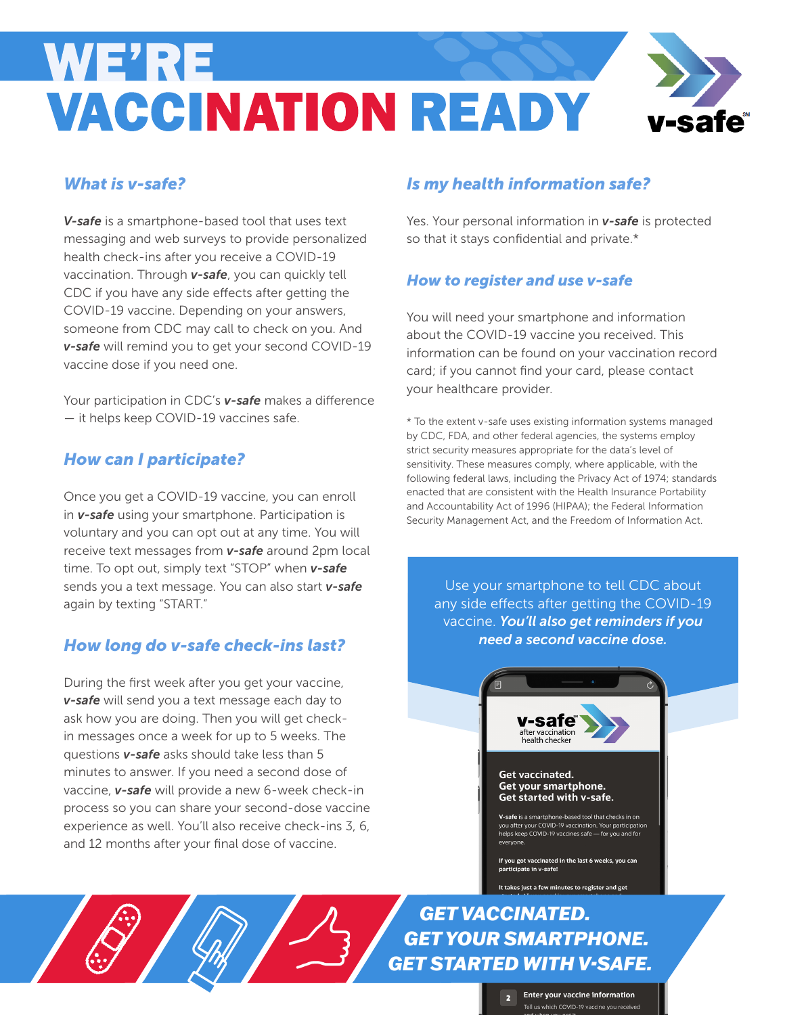# **WE'RE VACCINATION READY**

#### *What is v-safe?*

*V-safe* is a smartphone-based tool that uses text messaging and web surveys to provide personalized health check-ins after you receive a COVID-19 vaccination. Through *v-safe*, you can quickly tell CDC if you have any side effects after getting the COVID-19 vaccine. Depending on your answers, someone from CDC may call to check on you. And *v-safe* will remind you to get your second COVID-19 vaccine dose if you need one.

Your participation in CDC's *v-safe* makes a difference — it helps keep COVID-19 vaccines safe.

### *How can I participate?*

Once you get a COVID-19 vaccine, you can enroll in *v-safe* using your smartphone. Participation is voluntary and you can opt out at any time. You will receive text messages from *v-safe* around 2pm local time. To opt out, simply text "STOP" when *v-safe* sends you a text message. You can also start *v-safe* again by texting "START."

#### *How long do v-safe check-ins last?*

During the first week after you get your vaccine, *v-safe* will send you a text message each day to ask how you are doing. Then you will get checkin messages once a week for up to 5 weeks. The questions *v-safe* asks should take less than 5 minutes to answer. If you need a second dose of vaccine, *v-safe* will provide a new 6-week check-in process so you can share your second-dose vaccine experience as well. You'll also receive check-ins 3, 6, and 12 months after your final dose of vaccine.

#### *Is my health information safe?*

Yes. Your personal information in *v-safe* is protected so that it stays confidential and private.\*

#### *How to register and use v-safe*

You will need your smartphone and information about the COVID-19 vaccine you received. This information can be found on your vaccination record card; if you cannot find your card, please contact your healthcare provider.

\* To the extent v-safe uses existing information systems managed by CDC, FDA, and other federal agencies, the systems employ strict security measures appropriate for the data's level of sensitivity. These measures comply, where applicable, with the following federal laws, including the Privacy Act of 1974; standards enacted that are consistent with the Health Insurance Portability and Accountability Act of 1996 (HIPAA); the Federal Information Security Management Act, and the Freedom of Information Act.

Use your smartphone to tell CDC about any side effects after getting the COVID-19 vaccine. *You'll also get reminders if you need a second vaccine dose.*



#### **Get vaccinated.** Get your smartphone. Get started with v-safe.

V-safe is a smartphone-based tool that checks in on you after your COVID-19 vaccination. Your participation<br>helps keep COVID-19 vaccination. Your participation<br>helps keep COVID-19 vaccines safe — for you and for evervone

If you got vaccinated in the last 6 weeks, you can articipate in v-safe!

It takes just a few minutes to register and get

*GET VACCINATED. GET YOUR SMARTPHONE. GET STARTED WITH V-SAFE.*

> **Enter your vaccine information** Tell us which COVID-19 vaccine you received